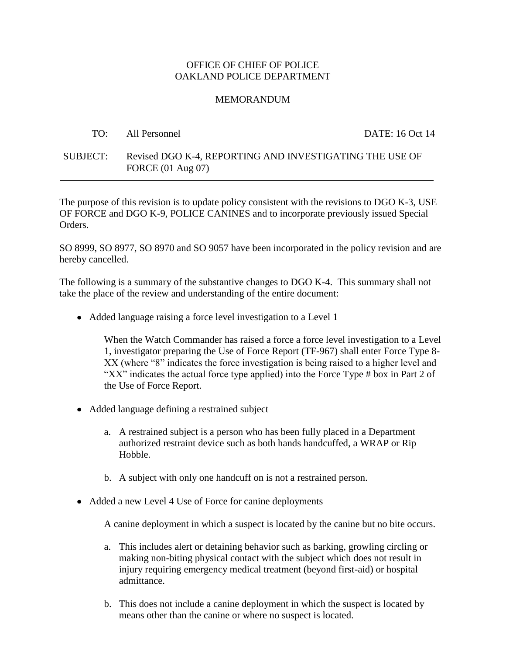#### OFFICE OF CHIEF OF POLICE OAKLAND POLICE DEPARTMENT

#### MEMORANDUM

|          | TO: All Personnel                                                                       | DATE: 16 Oct 14 |
|----------|-----------------------------------------------------------------------------------------|-----------------|
| SUBJECT: | Revised DGO K-4, REPORTING AND INVESTIGATING THE USE OF<br>FORCE $(01 \text{ Aug } 07)$ |                 |

The purpose of this revision is to update policy consistent with the revisions to DGO K-3, USE OF FORCE and DGO K-9, POLICE CANINES and to incorporate previously issued Special Orders.

SO 8999, SO 8977, SO 8970 and SO 9057 have been incorporated in the policy revision and are hereby cancelled.

The following is a summary of the substantive changes to DGO K-4. This summary shall not take the place of the review and understanding of the entire document:

Added language raising a force level investigation to a Level 1

When the Watch Commander has raised a force a force level investigation to a Level 1, investigator preparing the Use of Force Report (TF-967) shall enter Force Type 8- XX (where "8" indicates the force investigation is being raised to a higher level and "XX" indicates the actual force type applied) into the Force Type # box in Part 2 of the Use of Force Report.

- Added language defining a restrained subject
	- a. A restrained subject is a person who has been fully placed in a Department authorized restraint device such as both hands handcuffed, a WRAP or Rip Hobble.
	- b. A subject with only one handcuff on is not a restrained person.
- Added a new Level 4 Use of Force for canine deployments

A canine deployment in which a suspect is located by the canine but no bite occurs.

- a. This includes alert or detaining behavior such as barking, growling circling or making non-biting physical contact with the subject which does not result in injury requiring emergency medical treatment (beyond first-aid) or hospital admittance.
- b. This does not include a canine deployment in which the suspect is located by means other than the canine or where no suspect is located.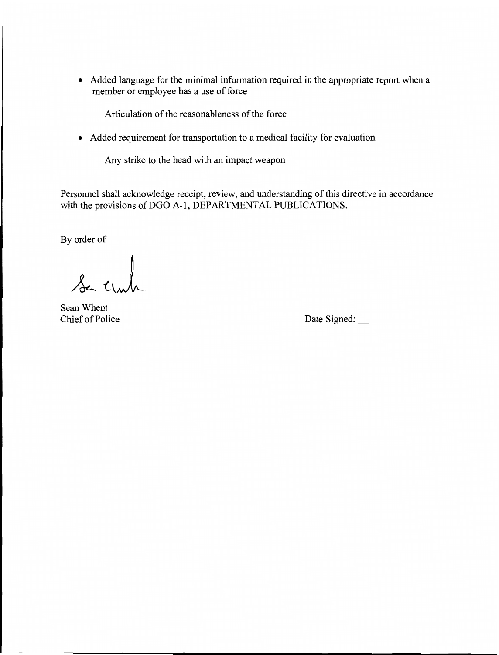• Added language for the minimal information required in the appropriate report when a member or employee has a use of force

Articulation of the reasonableness of the force

• Added requirement for transportation to a medical facility for evaluation-

Any strike to the head with an impact weapon-

Personnel shall acknowledge receipt, review, and understanding of this directive in accordance with the provisions of DGO A-1, DEPARTMENTAL PUBLICATIONS.

By order of

Se crub

Sean Whent-

Chief of Police Date Signed: \_-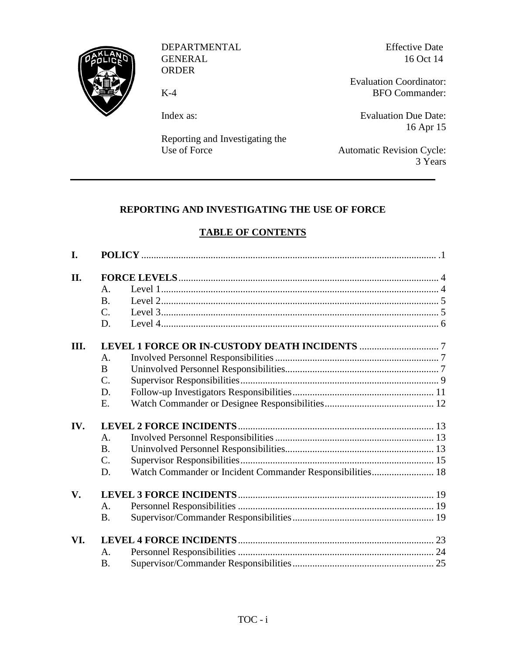

DEPARTMENTAL GENERAL ORDER

K-4

Index as:

Reporting and Investigating the Use of Force

Effective Date 16 Oct 14

Evaluation Coordinator: BFO Commander:

Evaluation Due Date: 16 Apr 15

Automatic Revision Cycle: 3 Years

# **REPORTING AND INVESTIGATING THE USE OF FORCE**

## **TABLE OF CONTENTS**

| I.                     |                  |                                                           |  |
|------------------------|------------------|-----------------------------------------------------------|--|
| II.                    |                  |                                                           |  |
|                        | A.               |                                                           |  |
|                        | <b>B.</b>        |                                                           |  |
|                        | $C_{\cdot}$      |                                                           |  |
|                        | D.               |                                                           |  |
| III.                   |                  |                                                           |  |
|                        | A.               |                                                           |  |
|                        | B                |                                                           |  |
|                        | $\overline{C}$ . |                                                           |  |
|                        | D.               |                                                           |  |
|                        | Ε.               |                                                           |  |
| IV.                    |                  |                                                           |  |
|                        | A.               |                                                           |  |
|                        | $\mathbf{B}$ .   |                                                           |  |
|                        | $C_{\cdot}$      |                                                           |  |
|                        | D.               | Watch Commander or Incident Commander Responsibilities 18 |  |
| $\mathbf{V}_{\bullet}$ |                  |                                                           |  |
|                        | $\mathsf{A}$ .   |                                                           |  |
|                        | <b>B.</b>        |                                                           |  |
| VI.                    |                  |                                                           |  |
|                        | A.               |                                                           |  |
|                        | <b>B.</b>        |                                                           |  |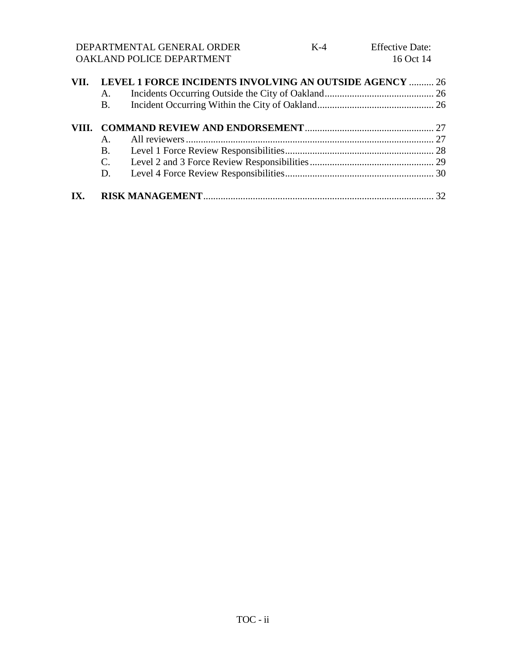DEPARTMENTAL GENERAL ORDER OAKLAND POLICE DEPARTMENT

|     | VII. LEVEL 1 FORCE INCIDENTS INVOLVING AN OUTSIDE AGENCY  26 |  |  |
|-----|--------------------------------------------------------------|--|--|
|     | A.                                                           |  |  |
|     | <b>B</b> .                                                   |  |  |
|     |                                                              |  |  |
|     |                                                              |  |  |
|     |                                                              |  |  |
|     |                                                              |  |  |
|     | D.                                                           |  |  |
| IX. |                                                              |  |  |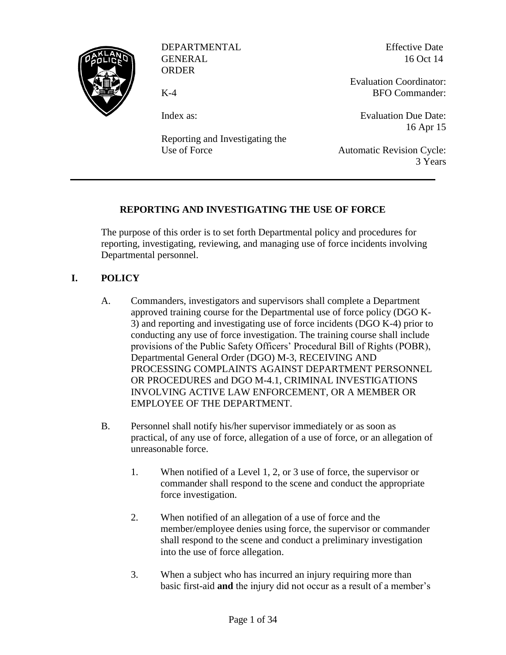

DEPARTMENTAL GENERAL ORDER

K-4

Effective Date 16 Oct 14

Index as:

Reporting and Investigating the Use of Force

Evaluation Coordinator: BFO Commander:

Evaluation Due Date: 16 Apr 15

Automatic Revision Cycle: 3 Years

## **REPORTING AND INVESTIGATING THE USE OF FORCE**

The purpose of this order is to set forth Departmental policy and procedures for reporting, investigating, reviewing, and managing use of force incidents involving Departmental personnel.

## **I. POLICY**

- <span id="page-4-0"></span>A. Commanders, investigators and supervisors shall complete a Department approved training course for the Departmental use of force policy (DGO K-3) and reporting and investigating use of force incidents (DGO K-4) prior to conducting any use of force investigation. The training course shall include provisions of the Public Safety Officers' Procedural Bill of Rights (POBR), Departmental General Order (DGO) M-3, RECEIVING AND PROCESSING COMPLAINTS AGAINST DEPARTMENT PERSONNEL OR PROCEDURES and DGO M-4.1, CRIMINAL INVESTIGATIONS INVOLVING ACTIVE LAW ENFORCEMENT, OR A MEMBER OR EMPLOYEE OF THE DEPARTMENT.
- B. Personnel shall notify his/her supervisor immediately or as soon as practical, of any use of force, allegation of a use of force, or an allegation of unreasonable force.
	- 1. When notified of a Level 1, 2, or 3 use of force, the supervisor or commander shall respond to the scene and conduct the appropriate force investigation.
	- 2. When notified of an allegation of a use of force and the member/employee denies using force, the supervisor or commander shall respond to the scene and conduct a preliminary investigation into the use of force allegation.
	- 3. When a subject who has incurred an injury requiring more than basic first-aid **and** the injury did not occur as a result of a member's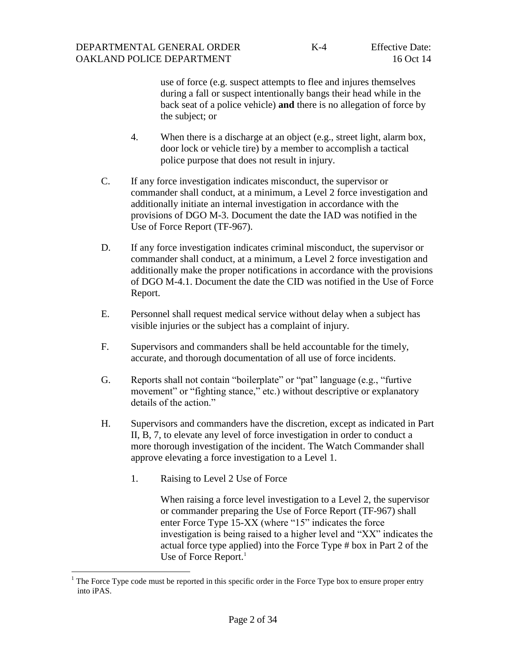use of force (e.g. suspect attempts to flee and injures themselves during a fall or suspect intentionally bangs their head while in the back seat of a police vehicle) **and** there is no allegation of force by the subject; or

- 4. When there is a discharge at an object (e.g., street light, alarm box, door lock or vehicle tire) by a member to accomplish a tactical police purpose that does not result in injury.
- C. If any force investigation indicates misconduct, the supervisor or commander shall conduct, at a minimum, a Level 2 force investigation and additionally initiate an internal investigation in accordance with the provisions of DGO M-3. Document the date the IAD was notified in the Use of Force Report (TF-967).
- D. If any force investigation indicates criminal misconduct, the supervisor or commander shall conduct, at a minimum, a Level 2 force investigation and additionally make the proper notifications in accordance with the provisions of DGO M-4.1. Document the date the CID was notified in the Use of Force Report.
- E. Personnel shall request medical service without delay when a subject has visible injuries or the subject has a complaint of injury.
- F. Supervisors and commanders shall be held accountable for the timely, accurate, and thorough documentation of all use of force incidents.
- G. Reports shall not contain "boilerplate" or "pat" language (e.g., "furtive movement" or "fighting stance," etc.) without descriptive or explanatory details of the action."
- H. Supervisors and commanders have the discretion, except as indicated in Part II, B, 7, to elevate any level of force investigation in order to conduct a more thorough investigation of the incident. The Watch Commander shall approve elevating a force investigation to a Level 1.
	- 1. Raising to Level 2 Use of Force

l

When raising a force level investigation to a Level 2, the supervisor or commander preparing the Use of Force Report (TF-967) shall enter Force Type 15-XX (where "15" indicates the force investigation is being raised to a higher level and "XX" indicates the actual force type applied) into the Force Type # box in Part 2 of the Use of Force Report.<sup>1</sup>

The Force Type code must be reported in this specific order in the Force Type box to ensure proper entry into iPAS.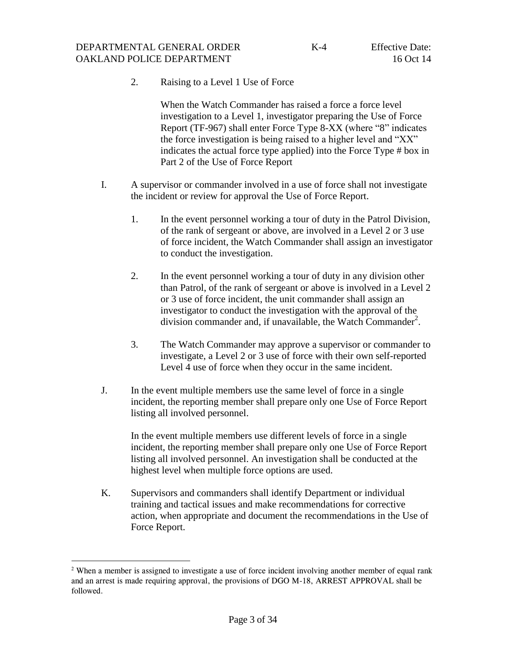2. Raising to a Level 1 Use of Force

When the Watch Commander has raised a force a force level investigation to a Level 1, investigator preparing the Use of Force Report (TF-967) shall enter Force Type 8-XX (where "8" indicates the force investigation is being raised to a higher level and "XX" indicates the actual force type applied) into the Force Type # box in Part 2 of the Use of Force Report

- I. A supervisor or commander involved in a use of force shall not investigate the incident or review for approval the Use of Force Report.
	- 1. In the event personnel working a tour of duty in the Patrol Division, of the rank of sergeant or above, are involved in a Level 2 or 3 use of force incident, the Watch Commander shall assign an investigator to conduct the investigation.
	- 2. In the event personnel working a tour of duty in any division other than Patrol, of the rank of sergeant or above is involved in a Level 2 or 3 use of force incident, the unit commander shall assign an investigator to conduct the investigation with the approval of the division commander and, if unavailable, the Watch Commander<sup>2</sup>.
	- 3. The Watch Commander may approve a supervisor or commander to investigate, a Level 2 or 3 use of force with their own self-reported Level 4 use of force when they occur in the same incident.
- J. In the event multiple members use the same level of force in a single incident, the reporting member shall prepare only one Use of Force Report listing all involved personnel.

In the event multiple members use different levels of force in a single incident, the reporting member shall prepare only one Use of Force Report listing all involved personnel. An investigation shall be conducted at the highest level when multiple force options are used.

K. Supervisors and commanders shall identify Department or individual training and tactical issues and make recommendations for corrective action, when appropriate and document the recommendations in the Use of Force Report.

l

<sup>&</sup>lt;sup>2</sup> When a member is assigned to investigate a use of force incident involving another member of equal rank and an arrest is made requiring approval, the provisions of DGO M-18, ARREST APPROVAL shall be followed.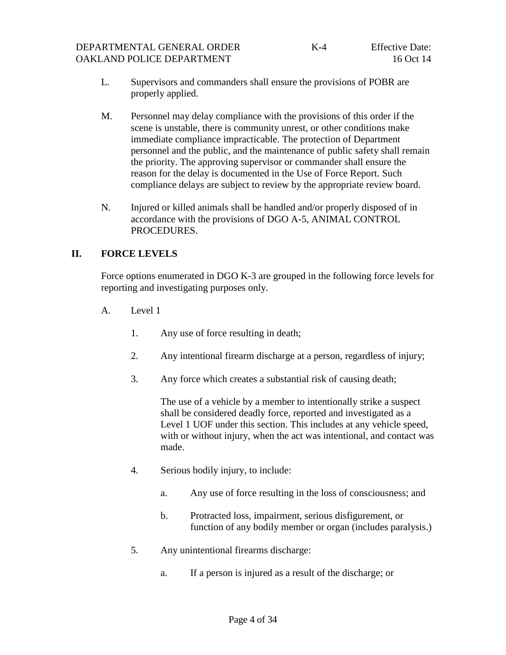- L. Supervisors and commanders shall ensure the provisions of POBR are properly applied.
- M. Personnel may delay compliance with the provisions of this order if the scene is unstable, there is community unrest, or other conditions make immediate compliance impracticable. The protection of Department personnel and the public, and the maintenance of public safety shall remain the priority. The approving supervisor or commander shall ensure the reason for the delay is documented in the Use of Force Report. Such compliance delays are subject to review by the appropriate review board.
- N. Injured or killed animals shall be handled and/or properly disposed of in accordance with the provisions of DGO A-5, ANIMAL CONTROL PROCEDURES.

## **II. FORCE LEVELS**

<span id="page-7-0"></span>Force options enumerated in DGO K-3 are grouped in the following force levels for reporting and investigating purposes only.

- <span id="page-7-1"></span>A. Level 1
	- 1. Any use of force resulting in death;
	- 2. Any intentional firearm discharge at a person, regardless of injury;
	- 3. Any force which creates a substantial risk of causing death;

The use of a vehicle by a member to intentionally strike a suspect shall be considered deadly force, reported and investigated as a Level 1 UOF under this section. This includes at any vehicle speed, with or without injury, when the act was intentional, and contact was made.

- 4. Serious bodily injury, to include:
	- a. Any use of force resulting in the loss of consciousness; and
	- b. Protracted loss, impairment, serious disfigurement, or function of any bodily member or organ (includes paralysis.)
- 5. Any unintentional firearms discharge:
	- a. If a person is injured as a result of the discharge; or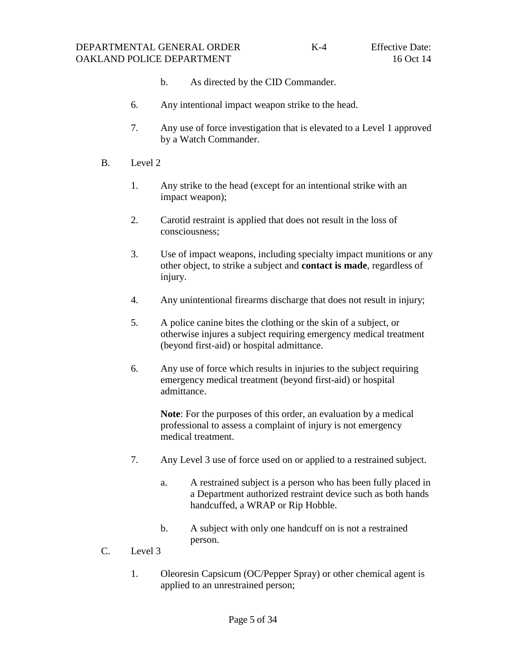- b. As directed by the CID Commander.
- 6. Any intentional impact weapon strike to the head.
- <span id="page-8-0"></span>7. Any use of force investigation that is elevated to a Level 1 approved by a Watch Commander.
- B. Level 2
	- 1. Any strike to the head (except for an intentional strike with an impact weapon);
	- 2. Carotid restraint is applied that does not result in the loss of consciousness;
	- 3. Use of impact weapons, including specialty impact munitions or any other object, to strike a subject and **contact is made**, regardless of injury.
	- 4. Any unintentional firearms discharge that does not result in injury;
	- 5. A police canine bites the clothing or the skin of a subject, or otherwise injures a subject requiring emergency medical treatment (beyond first-aid) or hospital admittance.
	- 6. Any use of force which results in injuries to the subject requiring emergency medical treatment (beyond first-aid) or hospital admittance.

**Note**: For the purposes of this order, an evaluation by a medical professional to assess a complaint of injury is not emergency medical treatment.

- 7. Any Level 3 use of force used on or applied to a restrained subject.
	- a. A restrained subject is a person who has been fully placed in a Department authorized restraint device such as both hands handcuffed, a WRAP or Rip Hobble.
	- b. A subject with only one handcuff on is not a restrained person.
- <span id="page-8-1"></span>C. Level 3
	- 1. Oleoresin Capsicum (OC/Pepper Spray) or other chemical agent is applied to an unrestrained person;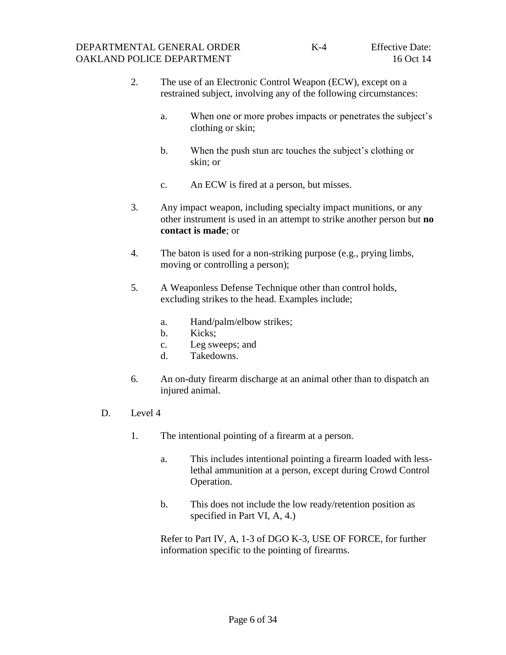- 2. The use of an Electronic Control Weapon (ECW), except on a restrained subject, involving any of the following circumstances:
	- a. When one or more probes impacts or penetrates the subject's clothing or skin;
	- b. When the push stun arc touches the subject's clothing or skin; or
	- c. An ECW is fired at a person, but misses.
- 3. Any impact weapon, including specialty impact munitions, or any other instrument is used in an attempt to strike another person but **no contact is made**; or
- 4. The baton is used for a non-striking purpose (e.g., prying limbs, moving or controlling a person);
- 5. A Weaponless Defense Technique other than control holds, excluding strikes to the head. Examples include;
	- a. Hand/palm/elbow strikes;
	- b. Kicks;
	- c. Leg sweeps; and
	- d. Takedowns.
- <span id="page-9-0"></span>6. An on-duty firearm discharge at an animal other than to dispatch an injured animal.
- D. Level 4
	- 1. The intentional pointing of a firearm at a person.
		- a. This includes intentional pointing a firearm loaded with lesslethal ammunition at a person, except during Crowd Control Operation.
		- b. This does not include the low ready/retention position as specified in Part VI, A, 4.)

Refer to Part IV, A, 1-3 of DGO K-3, USE OF FORCE, for further information specific to the pointing of firearms.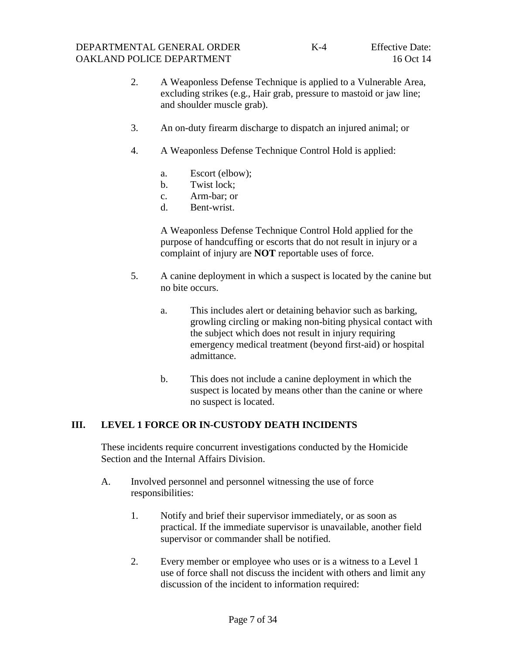- 2. A Weaponless Defense Technique is applied to a Vulnerable Area, excluding strikes (e.g., Hair grab, pressure to mastoid or jaw line; and shoulder muscle grab).
- 3. An on-duty firearm discharge to dispatch an injured animal; or
- 4. A Weaponless Defense Technique Control Hold is applied:
	- a. Escort (elbow);
	- b. Twist lock;
	- c. Arm-bar; or
	- d. Bent-wrist.

A Weaponless Defense Technique Control Hold applied for the purpose of handcuffing or escorts that do not result in injury or a complaint of injury are **NOT** reportable uses of force.

- 5. A canine deployment in which a suspect is located by the canine but no bite occurs.
	- a. This includes alert or detaining behavior such as barking, growling circling or making non-biting physical contact with the subject which does not result in injury requiring emergency medical treatment (beyond first-aid) or hospital admittance.
	- b. This does not include a canine deployment in which the suspect is located by means other than the canine or where no suspect is located.

## **III. LEVEL 1 FORCE OR IN-CUSTODY DEATH INCIDENTS**

<span id="page-10-0"></span>These incidents require concurrent investigations conducted by the Homicide Section and the Internal Affairs Division.

- <span id="page-10-1"></span>A. Involved personnel and personnel witnessing the use of force responsibilities:
	- 1. Notify and brief their supervisor immediately, or as soon as practical. If the immediate supervisor is unavailable, another field supervisor or commander shall be notified.
	- 2. Every member or employee who uses or is a witness to a Level 1 use of force shall not discuss the incident with others and limit any discussion of the incident to information required: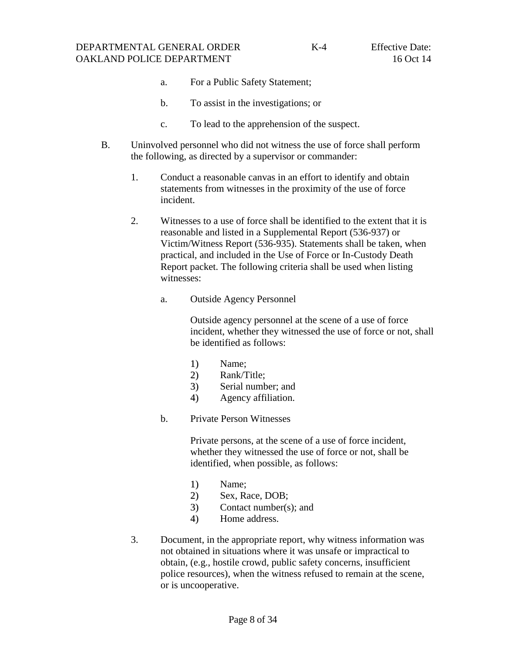- a. For a Public Safety Statement;
- b. To assist in the investigations; or
- c. To lead to the apprehension of the suspect.
- B. Uninvolved personnel who did not witness the use of force shall perform the following, as directed by a supervisor or commander:
	- 1. Conduct a reasonable canvas in an effort to identify and obtain statements from witnesses in the proximity of the use of force incident.
	- 2. Witnesses to a use of force shall be identified to the extent that it is reasonable and listed in a Supplemental Report (536-937) or Victim/Witness Report (536-935). Statements shall be taken, when practical, and included in the Use of Force or In-Custody Death Report packet. The following criteria shall be used when listing witnesses:
		- a. Outside Agency Personnel

Outside agency personnel at the scene of a use of force incident, whether they witnessed the use of force or not, shall be identified as follows:

- 1) Name;
- 2) Rank/Title;
- 3) Serial number; and
- 4) Agency affiliation.
- b. Private Person Witnesses

Private persons, at the scene of a use of force incident, whether they witnessed the use of force or not, shall be identified, when possible, as follows:

- 1) Name;
- 2) Sex, Race, DOB;
- 3) Contact number(s); and
- 4) Home address.
- 3. Document, in the appropriate report, why witness information was not obtained in situations where it was unsafe or impractical to obtain, (e.g., hostile crowd, public safety concerns, insufficient police resources), when the witness refused to remain at the scene, or is uncooperative.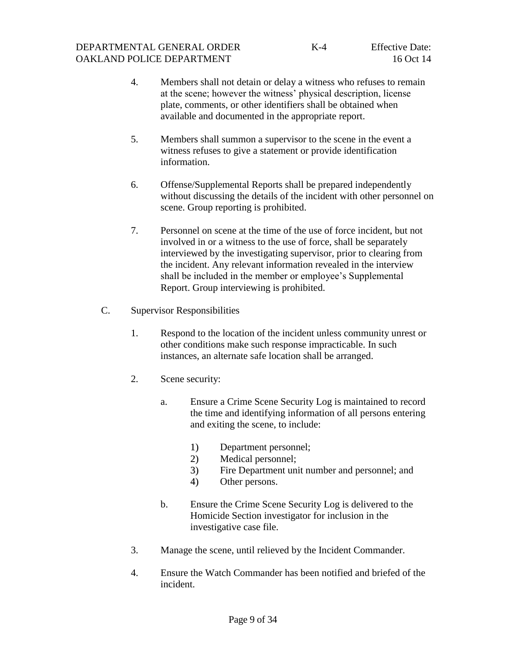- 4. Members shall not detain or delay a witness who refuses to remain at the scene; however the witness' physical description, license plate, comments, or other identifiers shall be obtained when available and documented in the appropriate report.
- 5. Members shall summon a supervisor to the scene in the event a witness refuses to give a statement or provide identification information.
- 6. Offense/Supplemental Reports shall be prepared independently without discussing the details of the incident with other personnel on scene. Group reporting is prohibited.
- <span id="page-12-0"></span>7. Personnel on scene at the time of the use of force incident, but not involved in or a witness to the use of force, shall be separately interviewed by the investigating supervisor, prior to clearing from the incident. Any relevant information revealed in the interview shall be included in the member or employee's Supplemental Report. Group interviewing is prohibited.
- C. Supervisor Responsibilities
	- 1. Respond to the location of the incident unless community unrest or other conditions make such response impracticable. In such instances, an alternate safe location shall be arranged.
	- 2. Scene security:
		- a. Ensure a Crime Scene Security Log is maintained to record the time and identifying information of all persons entering and exiting the scene, to include:
			- 1) Department personnel;
			- 2) Medical personnel;
			- 3) Fire Department unit number and personnel; and
			- 4) Other persons.
		- b. Ensure the Crime Scene Security Log is delivered to the Homicide Section investigator for inclusion in the investigative case file.
	- 3. Manage the scene, until relieved by the Incident Commander.
	- 4. Ensure the Watch Commander has been notified and briefed of the incident.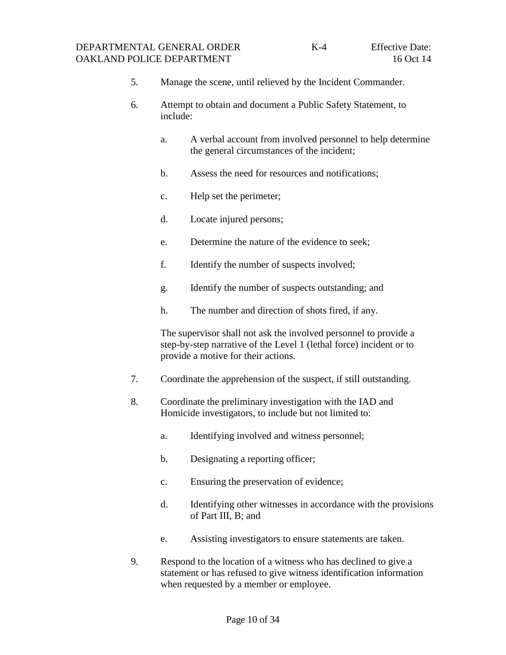- 5. Manage the scene, until relieved by the Incident Commander.
- 6. Attempt to obtain and document a Public Safety Statement, to include:
	- a. A verbal account from involved personnel to help determine the general circumstances of the incident;
	- b. Assess the need for resources and notifications;
	- c. Help set the perimeter;
	- d. Locate injured persons;
	- e. Determine the nature of the evidence to seek;
	- f. Identify the number of suspects involved;
	- g. Identify the number of suspects outstanding; and
	- h. The number and direction of shots fired, if any.

The supervisor shall not ask the involved personnel to provide a step-by-step narrative of the Level 1 (lethal force) incident or to provide a motive for their actions.

- 7. Coordinate the apprehension of the suspect, if still outstanding.
- 8. Coordinate the preliminary investigation with the IAD and Homicide investigators, to include but not limited to:
	- a. Identifying involved and witness personnel;
	- b. Designating a reporting officer;
	- c. Ensuring the preservation of evidence;
	- d. Identifying other witnesses in accordance with the provisions of Part III, B; and
	- e. Assisting investigators to ensure statements are taken.
- 9. Respond to the location of a witness who has declined to give a statement or has refused to give witness identification information when requested by a member or employee.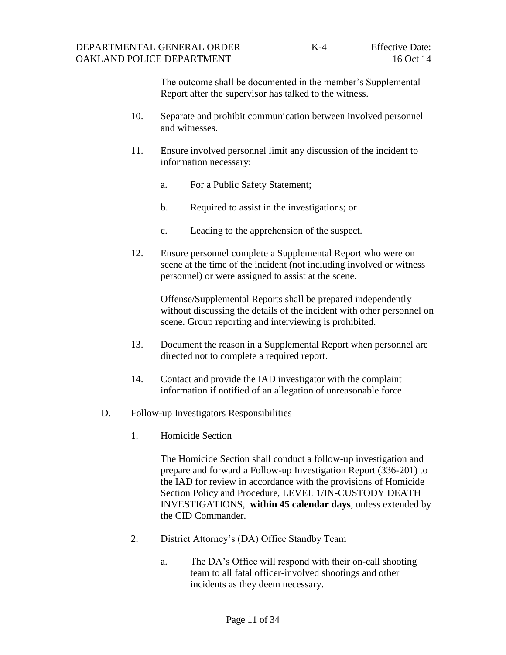The outcome shall be documented in the member's Supplemental Report after the supervisor has talked to the witness.

- 10. Separate and prohibit communication between involved personnel and witnesses.
- 11. Ensure involved personnel limit any discussion of the incident to information necessary:
	- a. For a Public Safety Statement;
	- b. Required to assist in the investigations; or
	- c. Leading to the apprehension of the suspect.
- 12. Ensure personnel complete a Supplemental Report who were on scene at the time of the incident (not including involved or witness personnel) or were assigned to assist at the scene.

Offense/Supplemental Reports shall be prepared independently without discussing the details of the incident with other personnel on scene. Group reporting and interviewing is prohibited.

- 13. Document the reason in a Supplemental Report when personnel are directed not to complete a required report.
- 14. Contact and provide the IAD investigator with the complaint information if notified of an allegation of unreasonable force.
- D. Follow-up Investigators Responsibilities
	- 1. Homicide Section

<span id="page-14-0"></span>The Homicide Section shall conduct a follow-up investigation and prepare and forward a Follow-up Investigation Report (336-201) to the IAD for review in accordance with the provisions of Homicide Section Policy and Procedure, LEVEL 1/IN-CUSTODY DEATH INVESTIGATIONS, **within 45 calendar days**, unless extended by the CID Commander.

- 2. District Attorney's (DA) Office Standby Team
	- a. The DA's Office will respond with their on-call shooting team to all fatal officer-involved shootings and other incidents as they deem necessary.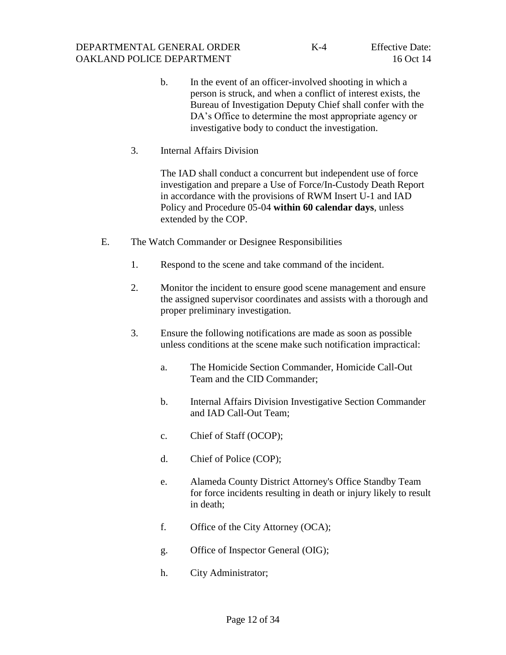- b. In the event of an officer-involved shooting in which a person is struck, and when a conflict of interest exists, the Bureau of Investigation Deputy Chief shall confer with the DA's Office to determine the most appropriate agency or investigative body to conduct the investigation.
- 3. Internal Affairs Division

<span id="page-15-0"></span>The IAD shall conduct a concurrent but independent use of force investigation and prepare a Use of Force/In-Custody Death Report in accordance with the provisions of RWM Insert U-1 and IAD Policy and Procedure 05-04 **within 60 calendar days**, unless extended by the COP.

- E. The Watch Commander or Designee Responsibilities
	- 1. Respond to the scene and take command of the incident.
	- 2. Monitor the incident to ensure good scene management and ensure the assigned supervisor coordinates and assists with a thorough and proper preliminary investigation.
	- 3. Ensure the following notifications are made as soon as possible unless conditions at the scene make such notification impractical:
		- a. The Homicide Section Commander, Homicide Call-Out Team and the CID Commander;
		- b. Internal Affairs Division Investigative Section Commander and IAD Call-Out Team;
		- c. Chief of Staff (OCOP);
		- d. Chief of Police (COP);
		- e. Alameda County District Attorney's Office Standby Team for force incidents resulting in death or injury likely to result in death;
		- f. Office of the City Attorney (OCA);
		- g. Office of Inspector General (OIG);
		- h. City Administrator;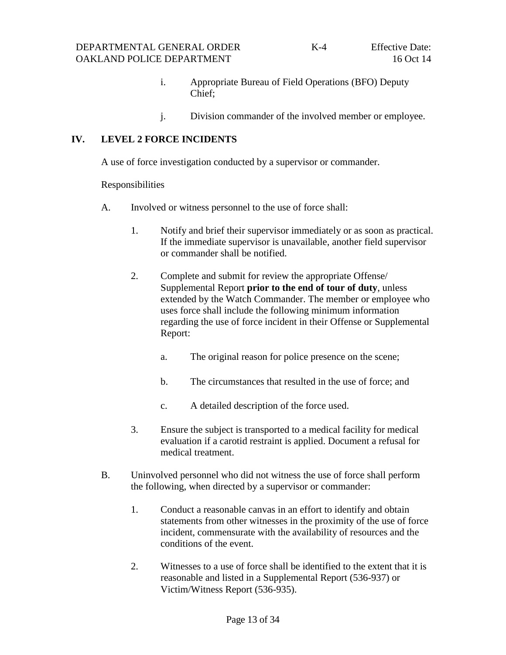- i. Appropriate Bureau of Field Operations (BFO) Deputy Chief;
- <span id="page-16-1"></span><span id="page-16-0"></span>j. Division commander of the involved member or employee.

#### **IV. LEVEL 2 FORCE INCIDENTS**

A use of force investigation conducted by a supervisor or commander.

Responsibilities

- A. Involved or witness personnel to the use of force shall:
	- 1. Notify and brief their supervisor immediately or as soon as practical. If the immediate supervisor is unavailable, another field supervisor or commander shall be notified.
	- 2. Complete and submit for review the appropriate Offense/ Supplemental Report **prior to the end of tour of duty**, unless extended by the Watch Commander. The member or employee who uses force shall include the following minimum information regarding the use of force incident in their Offense or Supplemental Report:
		- a. The original reason for police presence on the scene;
		- b. The circumstances that resulted in the use of force; and
		- c. A detailed description of the force used.
	- 3. Ensure the subject is transported to a medical facility for medical evaluation if a carotid restraint is applied. Document a refusal for medical treatment.
- B. Uninvolved personnel who did not witness the use of force shall perform the following, when directed by a supervisor or commander:
	- 1. Conduct a reasonable canvas in an effort to identify and obtain statements from other witnesses in the proximity of the use of force incident, commensurate with the availability of resources and the conditions of the event.
	- 2. Witnesses to a use of force shall be identified to the extent that it is reasonable and listed in a Supplemental Report (536-937) or Victim/Witness Report (536-935).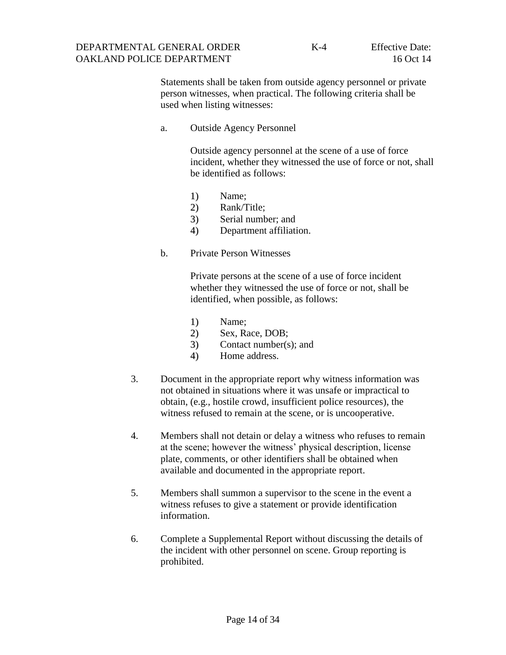Statements shall be taken from outside agency personnel or private person witnesses, when practical. The following criteria shall be used when listing witnesses:

a. Outside Agency Personnel

Outside agency personnel at the scene of a use of force incident, whether they witnessed the use of force or not, shall be identified as follows:

- 1) Name;
- 2) Rank/Title;
- 3) Serial number; and
- 4) Department affiliation.
- b. Private Person Witnesses

Private persons at the scene of a use of force incident whether they witnessed the use of force or not, shall be identified, when possible, as follows:

- 1) Name;
- 2) Sex, Race, DOB;
- 3) Contact number(s); and
- 4) Home address.
- 3. Document in the appropriate report why witness information was not obtained in situations where it was unsafe or impractical to obtain, (e.g., hostile crowd, insufficient police resources), the witness refused to remain at the scene, or is uncooperative.
- 4. Members shall not detain or delay a witness who refuses to remain at the scene; however the witness' physical description, license plate, comments, or other identifiers shall be obtained when available and documented in the appropriate report.
- 5. Members shall summon a supervisor to the scene in the event a witness refuses to give a statement or provide identification information.
- 6. Complete a Supplemental Report without discussing the details of the incident with other personnel on scene. Group reporting is prohibited.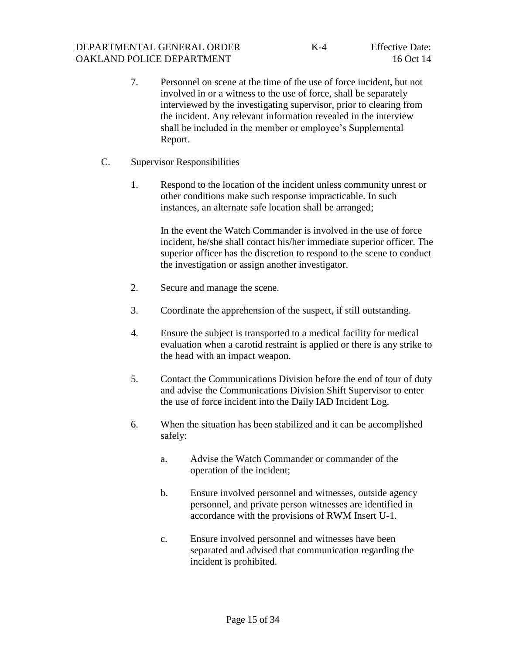- 7. Personnel on scene at the time of the use of force incident, but not involved in or a witness to the use of force, shall be separately interviewed by the investigating supervisor, prior to clearing from the incident. Any relevant information revealed in the interview shall be included in the member or employee's Supplemental Report.
- C. Supervisor Responsibilities
	- 1. Respond to the location of the incident unless community unrest or other conditions make such response impracticable. In such instances, an alternate safe location shall be arranged;

<span id="page-18-0"></span>In the event the Watch Commander is involved in the use of force incident, he/she shall contact his/her immediate superior officer. The superior officer has the discretion to respond to the scene to conduct the investigation or assign another investigator.

- 2. Secure and manage the scene.
- 3. Coordinate the apprehension of the suspect, if still outstanding.
- 4. Ensure the subject is transported to a medical facility for medical evaluation when a carotid restraint is applied or there is any strike to the head with an impact weapon.
- 5. Contact the Communications Division before the end of tour of duty and advise the Communications Division Shift Supervisor to enter the use of force incident into the Daily IAD Incident Log.
- 6. When the situation has been stabilized and it can be accomplished safely:
	- a. Advise the Watch Commander or commander of the operation of the incident;
	- b. Ensure involved personnel and witnesses, outside agency personnel, and private person witnesses are identified in accordance with the provisions of RWM Insert U-1.
	- c. Ensure involved personnel and witnesses have been separated and advised that communication regarding the incident is prohibited.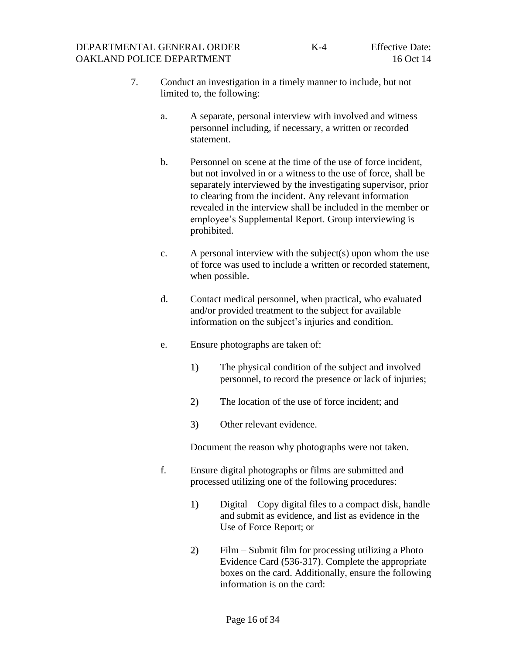- 7. Conduct an investigation in a timely manner to include, but not limited to, the following:
	- a. A separate, personal interview with involved and witness personnel including, if necessary, a written or recorded statement.
	- b. Personnel on scene at the time of the use of force incident, but not involved in or a witness to the use of force, shall be separately interviewed by the investigating supervisor, prior to clearing from the incident. Any relevant information revealed in the interview shall be included in the member or employee's Supplemental Report. Group interviewing is prohibited.
	- c. A personal interview with the subject(s) upon whom the use of force was used to include a written or recorded statement, when possible.
	- d. Contact medical personnel, when practical, who evaluated and/or provided treatment to the subject for available information on the subject's injuries and condition.
	- e. Ensure photographs are taken of:
		- 1) The physical condition of the subject and involved personnel, to record the presence or lack of injuries;
		- 2) The location of the use of force incident; and
		- 3) Other relevant evidence.

Document the reason why photographs were not taken.

- f. Ensure digital photographs or films are submitted and processed utilizing one of the following procedures:
	- 1) Digital Copy digital files to a compact disk, handle and submit as evidence, and list as evidence in the Use of Force Report; or
	- 2) Film Submit film for processing utilizing a Photo Evidence Card (536-317). Complete the appropriate boxes on the card. Additionally, ensure the following information is on the card: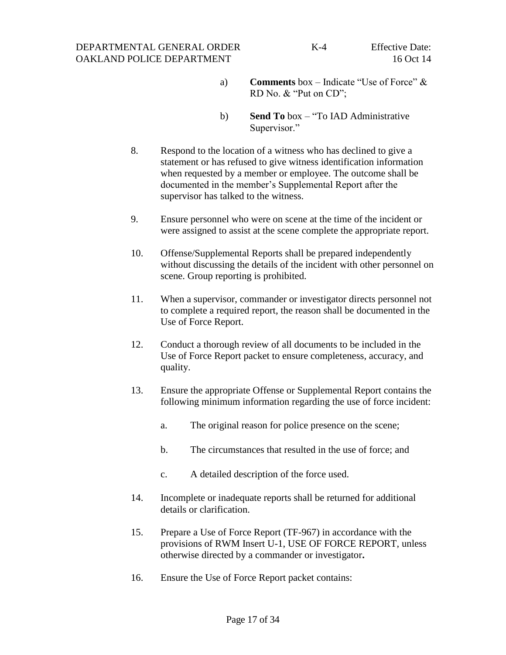#### DEPARTMENTAL GENERAL ORDER OAKLAND POLICE DEPARTMENT

- a) **Comments** box Indicate "Use of Force" & RD No. & "Put on CD";
- b) **Send To** box "To IAD Administrative Supervisor."
- 8. Respond to the location of a witness who has declined to give a statement or has refused to give witness identification information when requested by a member or employee. The outcome shall be documented in the member's Supplemental Report after the supervisor has talked to the witness.
- 9. Ensure personnel who were on scene at the time of the incident or were assigned to assist at the scene complete the appropriate report.
- 10. Offense/Supplemental Reports shall be prepared independently without discussing the details of the incident with other personnel on scene. Group reporting is prohibited.
- 11. When a supervisor, commander or investigator directs personnel not to complete a required report, the reason shall be documented in the Use of Force Report.
- 12. Conduct a thorough review of all documents to be included in the Use of Force Report packet to ensure completeness, accuracy, and quality.
- 13. Ensure the appropriate Offense or Supplemental Report contains the following minimum information regarding the use of force incident:
	- a. The original reason for police presence on the scene;
	- b. The circumstances that resulted in the use of force; and
	- c. A detailed description of the force used.
- 14. Incomplete or inadequate reports shall be returned for additional details or clarification.
- 15. Prepare a Use of Force Report (TF-967) in accordance with the provisions of RWM Insert U-1, USE OF FORCE REPORT, unless otherwise directed by a commander or investigator**.**
- 16. Ensure the Use of Force Report packet contains: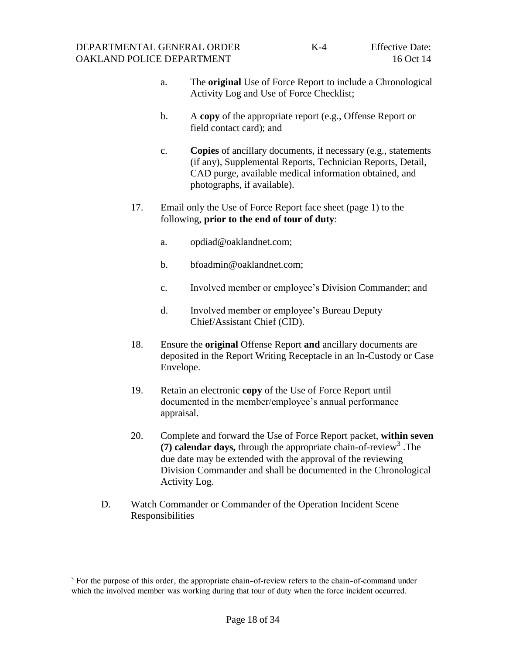- a. The **original** Use of Force Report to include a Chronological Activity Log and Use of Force Checklist;
- b. A **copy** of the appropriate report (e.g., Offense Report or field contact card); and
- c. **Copies** of ancillary documents, if necessary (e.g., statements (if any), Supplemental Reports, Technician Reports, Detail, CAD purge, available medical information obtained, and photographs, if available).
- 17. Email only the Use of Force Report face sheet (page 1) to the following, **prior to the end of tour of duty**:
	- a. opdiad@oaklandnet.com;
	- b. bfoadmin@oaklandnet.com;
	- c. Involved member or employee's Division Commander; and
	- d. Involved member or employee's Bureau Deputy Chief/Assistant Chief (CID).
- 18. Ensure the **original** Offense Report **and** ancillary documents are deposited in the Report Writing Receptacle in an In-Custody or Case Envelope.
- 19. Retain an electronic **copy** of the Use of Force Report until documented in the member/employee's annual performance appraisal.
- 20. Complete and forward the Use of Force Report packet, **within seven**  (7) calendar days, through the appropriate chain-of-review<sup>3</sup>. The due date may be extended with the approval of the reviewing Division Commander and shall be documented in the Chronological Activity Log.
- <span id="page-21-0"></span>D. Watch Commander or Commander of the Operation Incident Scene Responsibilities

l

<sup>&</sup>lt;sup>3</sup> For the purpose of this order, the appropriate chain–of-review refers to the chain–of-command under which the involved member was working during that tour of duty when the force incident occurred.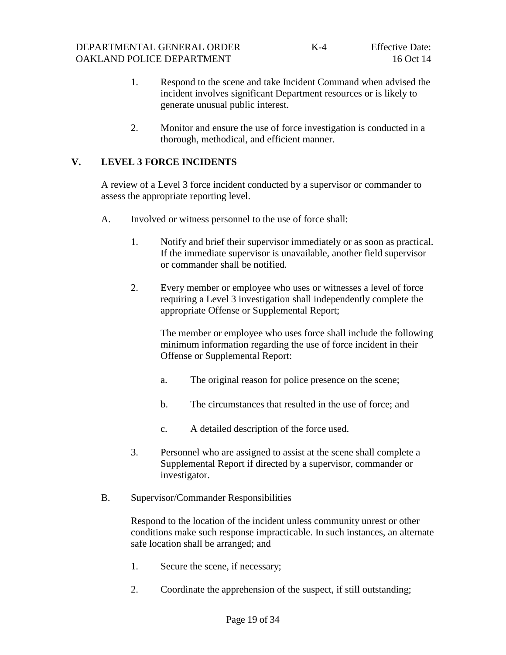- 1. Respond to the scene and take Incident Command when advised the incident involves significant Department resources or is likely to generate unusual public interest.
- <span id="page-22-0"></span>2. Monitor and ensure the use of force investigation is conducted in a thorough, methodical, and efficient manner.

## **V. LEVEL 3 FORCE INCIDENTS**

A review of a Level 3 force incident conducted by a supervisor or commander to assess the appropriate reporting level.

- A. Involved or witness personnel to the use of force shall:
	- 1. Notify and brief their supervisor immediately or as soon as practical. If the immediate supervisor is unavailable, another field supervisor or commander shall be notified.
	- 2. Every member or employee who uses or witnesses a level of force requiring a Level 3 investigation shall independently complete the appropriate Offense or Supplemental Report;

<span id="page-22-1"></span>The member or employee who uses force shall include the following minimum information regarding the use of force incident in their Offense or Supplemental Report:

- a. The original reason for police presence on the scene;
- b. The circumstances that resulted in the use of force; and
- <span id="page-22-2"></span>c. A detailed description of the force used.
- 3. Personnel who are assigned to assist at the scene shall complete a Supplemental Report if directed by a supervisor, commander or investigator.
- B. Supervisor/Commander Responsibilities

Respond to the location of the incident unless community unrest or other conditions make such response impracticable. In such instances, an alternate safe location shall be arranged; and

- 1. Secure the scene, if necessary;
- 2. Coordinate the apprehension of the suspect, if still outstanding;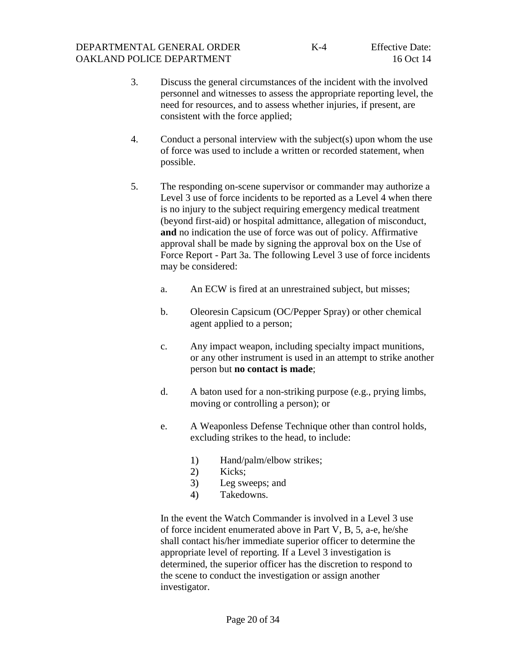- 3. Discuss the general circumstances of the incident with the involved personnel and witnesses to assess the appropriate reporting level, the need for resources, and to assess whether injuries, if present, are consistent with the force applied;
- 4. Conduct a personal interview with the subject(s) upon whom the use of force was used to include a written or recorded statement, when possible.
- 5. The responding on-scene supervisor or commander may authorize a Level 3 use of force incidents to be reported as a Level 4 when there is no injury to the subject requiring emergency medical treatment (beyond first-aid) or hospital admittance, allegation of misconduct, **and** no indication the use of force was out of policy. Affirmative approval shall be made by signing the approval box on the Use of Force Report - Part 3a. The following Level 3 use of force incidents may be considered:
	- a. An ECW is fired at an unrestrained subject, but misses;
	- b. Oleoresin Capsicum (OC/Pepper Spray) or other chemical agent applied to a person;
	- c. Any impact weapon, including specialty impact munitions, or any other instrument is used in an attempt to strike another person but **no contact is made**;
	- d. A baton used for a non-striking purpose (e.g., prying limbs, moving or controlling a person); or
	- e. A Weaponless Defense Technique other than control holds, excluding strikes to the head, to include:
		- 1) Hand/palm/elbow strikes;
		- 2) Kicks;
		- 3) Leg sweeps; and
		- 4) Takedowns.

In the event the Watch Commander is involved in a Level 3 use of force incident enumerated above in Part V, B, 5, a-e, he/she shall contact his/her immediate superior officer to determine the appropriate level of reporting. If a Level 3 investigation is determined, the superior officer has the discretion to respond to the scene to conduct the investigation or assign another investigator.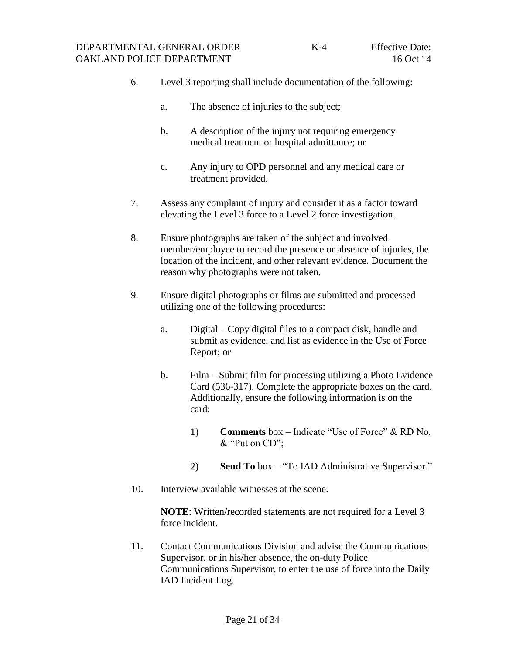- 6. Level 3 reporting shall include documentation of the following:
	- a. The absence of injuries to the subject;
	- b. A description of the injury not requiring emergency medical treatment or hospital admittance; or
	- c. Any injury to OPD personnel and any medical care or treatment provided.
- 7. Assess any complaint of injury and consider it as a factor toward elevating the Level 3 force to a Level 2 force investigation.
- 8. Ensure photographs are taken of the subject and involved member/employee to record the presence or absence of injuries, the location of the incident, and other relevant evidence. Document the reason why photographs were not taken.
- 9. Ensure digital photographs or films are submitted and processed utilizing one of the following procedures:
	- a. Digital Copy digital files to a compact disk, handle and submit as evidence, and list as evidence in the Use of Force Report; or
	- b. Film Submit film for processing utilizing a Photo Evidence Card (536-317). Complete the appropriate boxes on the card. Additionally, ensure the following information is on the card:
		- 1) **Comments** box Indicate "Use of Force" & RD No. & "Put on CD";
		- 2) **Send To** box "To IAD Administrative Supervisor."
- 10. Interview available witnesses at the scene.

**NOTE**: Written/recorded statements are not required for a Level 3 force incident.

11. Contact Communications Division and advise the Communications Supervisor, or in his/her absence, the on-duty Police Communications Supervisor, to enter the use of force into the Daily IAD Incident Log.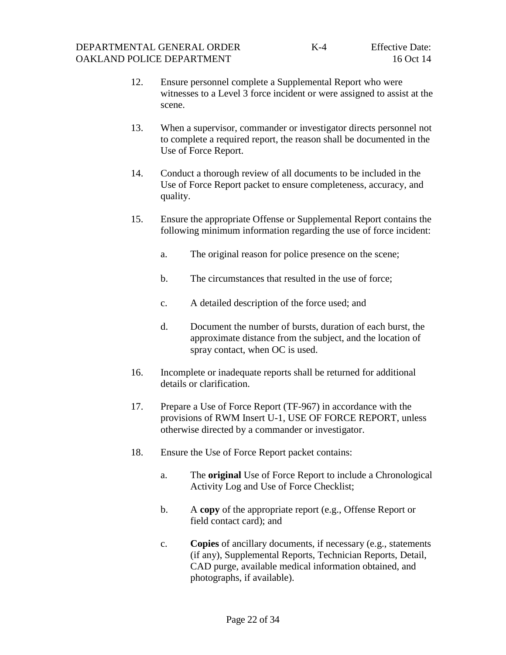- 12. Ensure personnel complete a Supplemental Report who were witnesses to a Level 3 force incident or were assigned to assist at the scene.
- 13. When a supervisor, commander or investigator directs personnel not to complete a required report, the reason shall be documented in the Use of Force Report.
- 14. Conduct a thorough review of all documents to be included in the Use of Force Report packet to ensure completeness, accuracy, and quality.
- 15. Ensure the appropriate Offense or Supplemental Report contains the following minimum information regarding the use of force incident:
	- a. The original reason for police presence on the scene;
	- b. The circumstances that resulted in the use of force;
	- c. A detailed description of the force used; and
	- d. Document the number of bursts, duration of each burst, the approximate distance from the subject, and the location of spray contact, when OC is used.
- 16. Incomplete or inadequate reports shall be returned for additional details or clarification.
- 17. Prepare a Use of Force Report (TF-967) in accordance with the provisions of RWM Insert U-1, USE OF FORCE REPORT, unless otherwise directed by a commander or investigator.
- 18. Ensure the Use of Force Report packet contains:
	- a. The **original** Use of Force Report to include a Chronological Activity Log and Use of Force Checklist;
	- b. A **copy** of the appropriate report (e.g., Offense Report or field contact card); and
	- c. **Copies** of ancillary documents, if necessary (e.g., statements (if any), Supplemental Reports, Technician Reports, Detail, CAD purge, available medical information obtained, and photographs, if available).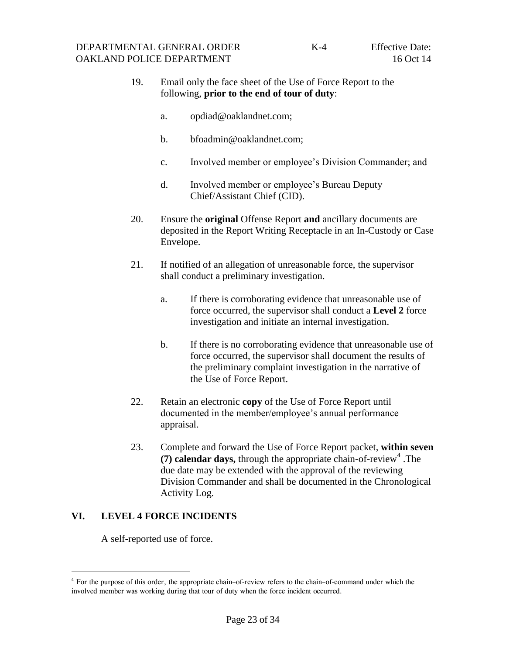#### 19. Email only the face sheet of the Use of Force Report to the following, **prior to the end of tour of duty**:

- a. opdiad@oaklandnet.com;
- b. bfoadmin@oaklandnet.com;
- c. Involved member or employee's Division Commander; and
- d. Involved member or employee's Bureau Deputy Chief/Assistant Chief (CID).
- 20. Ensure the **original** Offense Report **and** ancillary documents are deposited in the Report Writing Receptacle in an In-Custody or Case Envelope.
- 21. If notified of an allegation of unreasonable force, the supervisor shall conduct a preliminary investigation.
	- a. If there is corroborating evidence that unreasonable use of force occurred, the supervisor shall conduct a **Level 2** force investigation and initiate an internal investigation.
	- b. If there is no corroborating evidence that unreasonable use of force occurred, the supervisor shall document the results of the preliminary complaint investigation in the narrative of the Use of Force Report.
- 22. Retain an electronic **copy** of the Use of Force Report until documented in the member/employee's annual performance appraisal.
- <span id="page-26-0"></span>23. Complete and forward the Use of Force Report packet, **within seven**  (7) calendar days, through the appropriate chain-of-review<sup>4</sup>. The due date may be extended with the approval of the reviewing Division Commander and shall be documented in the Chronological Activity Log.

## **VI. LEVEL 4 FORCE INCIDENTS**

A self-reported use of force.

l

<sup>&</sup>lt;sup>4</sup> For the purpose of this order, the appropriate chain-of-review refers to the chain-of-command under which the involved member was working during that tour of duty when the force incident occurred.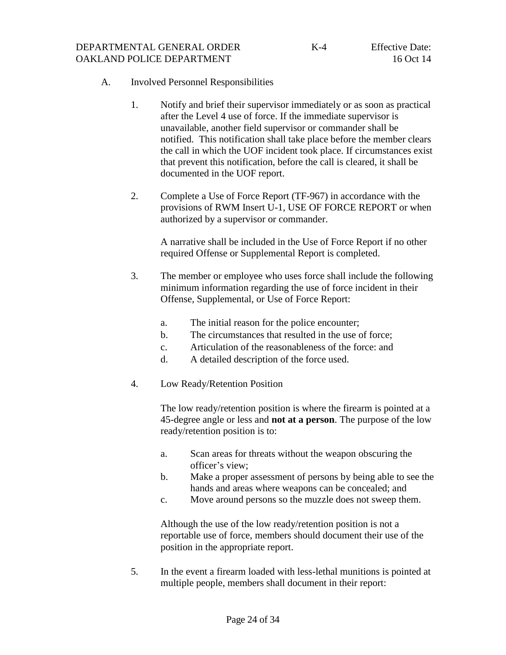- <span id="page-27-0"></span>A. Involved Personnel Responsibilities
	- 1. Notify and brief their supervisor immediately or as soon as practical after the Level 4 use of force. If the immediate supervisor is unavailable, another field supervisor or commander shall be notified. This notification shall take place before the member clears the call in which the UOF incident took place. If circumstances exist that prevent this notification, before the call is cleared, it shall be documented in the UOF report.
	- 2. Complete a Use of Force Report (TF-967) in accordance with the provisions of RWM Insert U-1, USE OF FORCE REPORT or when authorized by a supervisor or commander.

A narrative shall be included in the Use of Force Report if no other required Offense or Supplemental Report is completed.

- 3. The member or employee who uses force shall include the following minimum information regarding the use of force incident in their Offense, Supplemental, or Use of Force Report:
	- a. The initial reason for the police encounter;
	- b. The circumstances that resulted in the use of force;
	- c. Articulation of the reasonableness of the force: and
	- d. A detailed description of the force used.
- 4. Low Ready/Retention Position

The low ready/retention position is where the firearm is pointed at a 45-degree angle or less and **not at a person**. The purpose of the low ready/retention position is to:

- a. Scan areas for threats without the weapon obscuring the officer's view;
- b. Make a proper assessment of persons by being able to see the hands and areas where weapons can be concealed; and
- c. Move around persons so the muzzle does not sweep them.

Although the use of the low ready/retention position is not a reportable use of force, members should document their use of the position in the appropriate report.

5. In the event a firearm loaded with less-lethal munitions is pointed at multiple people, members shall document in their report: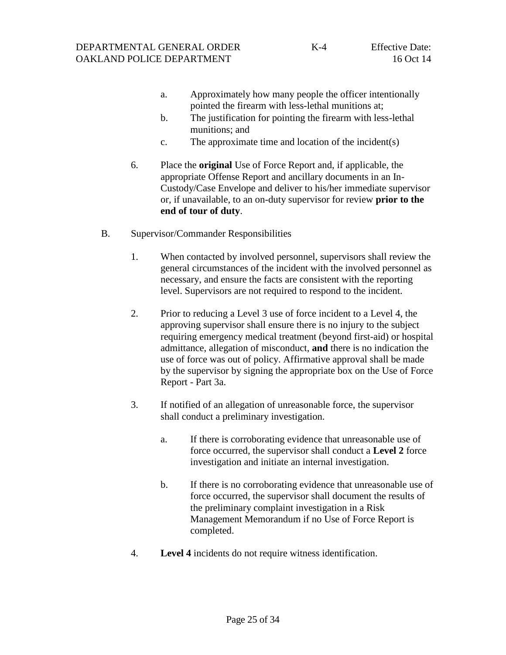- a. Approximately how many people the officer intentionally pointed the firearm with less-lethal munitions at;
- b. The justification for pointing the firearm with less-lethal munitions; and
- <span id="page-28-0"></span>c. The approximate time and location of the incident(s)
- 6. Place the **original** Use of Force Report and, if applicable, the appropriate Offense Report and ancillary documents in an In-Custody/Case Envelope and deliver to his/her immediate supervisor or, if unavailable, to an on-duty supervisor for review **prior to the end of tour of duty**.
- B. Supervisor/Commander Responsibilities
	- 1. When contacted by involved personnel, supervisors shall review the general circumstances of the incident with the involved personnel as necessary, and ensure the facts are consistent with the reporting level. Supervisors are not required to respond to the incident.
	- 2. Prior to reducing a Level 3 use of force incident to a Level 4, the approving supervisor shall ensure there is no injury to the subject requiring emergency medical treatment (beyond first-aid) or hospital admittance, allegation of misconduct, **and** there is no indication the use of force was out of policy. Affirmative approval shall be made by the supervisor by signing the appropriate box on the Use of Force Report - Part 3a.
	- 3. If notified of an allegation of unreasonable force, the supervisor shall conduct a preliminary investigation.
		- a. If there is corroborating evidence that unreasonable use of force occurred, the supervisor shall conduct a **Level 2** force investigation and initiate an internal investigation.
		- b. If there is no corroborating evidence that unreasonable use of force occurred, the supervisor shall document the results of the preliminary complaint investigation in a Risk Management Memorandum if no Use of Force Report is completed.
	- 4. **Level 4** incidents do not require witness identification.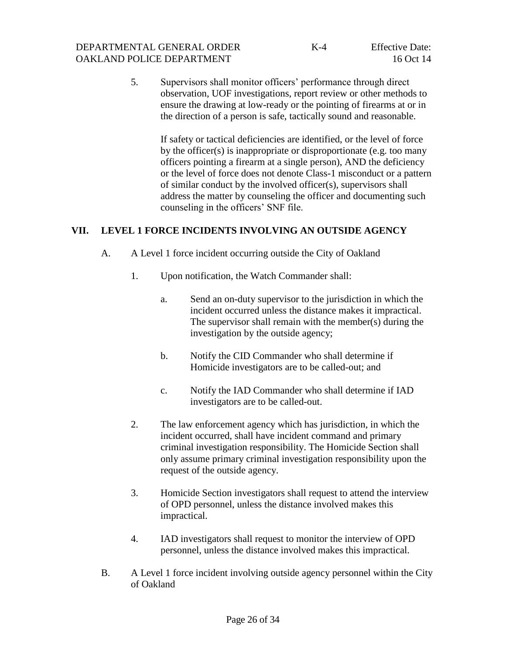5. Supervisors shall monitor officers' performance through direct observation, UOF investigations, report review or other methods to ensure the drawing at low-ready or the pointing of firearms at or in the direction of a person is safe, tactically sound and reasonable.

<span id="page-29-1"></span><span id="page-29-0"></span>If safety or tactical deficiencies are identified, or the level of force by the officer(s) is inappropriate or disproportionate (e.g. too many officers pointing a firearm at a single person), AND the deficiency or the level of force does not denote Class-1 misconduct or a pattern of similar conduct by the involved officer(s), supervisors shall address the matter by counseling the officer and documenting such counseling in the officers' SNF file.

## **VII. LEVEL 1 FORCE INCIDENTS INVOLVING AN OUTSIDE AGENCY**

- A. A Level 1 force incident occurring outside the City of Oakland
	- 1. Upon notification, the Watch Commander shall:
		- a. Send an on-duty supervisor to the jurisdiction in which the incident occurred unless the distance makes it impractical. The supervisor shall remain with the member(s) during the investigation by the outside agency;
		- b. Notify the CID Commander who shall determine if Homicide investigators are to be called-out; and
		- c. Notify the IAD Commander who shall determine if IAD investigators are to be called-out.
	- 2. The law enforcement agency which has jurisdiction, in which the incident occurred, shall have incident command and primary criminal investigation responsibility. The Homicide Section shall only assume primary criminal investigation responsibility upon the request of the outside agency.
	- 3. Homicide Section investigators shall request to attend the interview of OPD personnel, unless the distance involved makes this impractical.
	- 4. IAD investigators shall request to monitor the interview of OPD personnel, unless the distance involved makes this impractical.
- <span id="page-29-2"></span>B. A Level 1 force incident involving outside agency personnel within the City of Oakland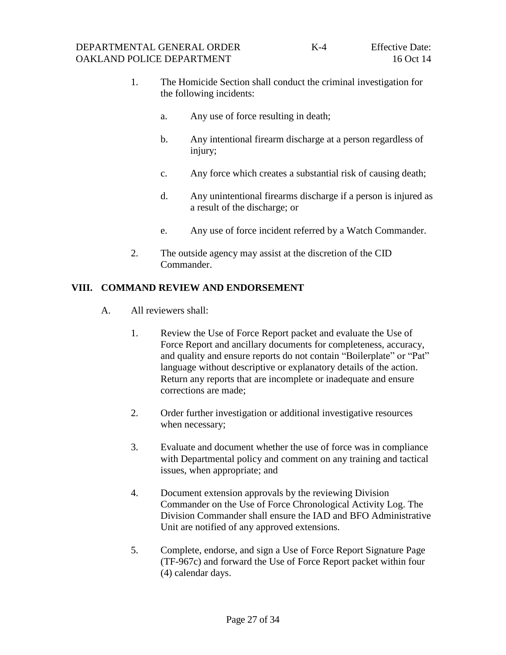- 1. The Homicide Section shall conduct the criminal investigation for the following incidents:
	- a. Any use of force resulting in death;
	- b. Any intentional firearm discharge at a person regardless of injury;
	- c. Any force which creates a substantial risk of causing death;
	- d. Any unintentional firearms discharge if a person is injured as a result of the discharge; or
	- e. Any use of force incident referred by a Watch Commander.
- <span id="page-30-1"></span><span id="page-30-0"></span>2. The outside agency may assist at the discretion of the CID Commander.

#### **VIII. COMMAND REVIEW AND ENDORSEMENT**

- A. All reviewers shall:
	- 1. Review the Use of Force Report packet and evaluate the Use of Force Report and ancillary documents for completeness, accuracy, and quality and ensure reports do not contain "Boilerplate" or "Pat" language without descriptive or explanatory details of the action. Return any reports that are incomplete or inadequate and ensure corrections are made;
	- 2. Order further investigation or additional investigative resources when necessary;
	- 3. Evaluate and document whether the use of force was in compliance with Departmental policy and comment on any training and tactical issues, when appropriate; and
	- 4. Document extension approvals by the reviewing Division Commander on the Use of Force Chronological Activity Log. The Division Commander shall ensure the IAD and BFO Administrative Unit are notified of any approved extensions.
	- 5. Complete, endorse, and sign a Use of Force Report Signature Page (TF-967c) and forward the Use of Force Report packet within four (4) calendar days.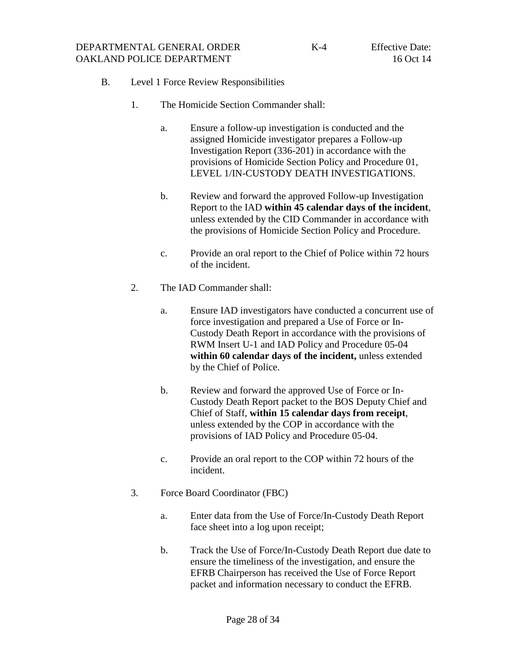- <span id="page-31-0"></span>B. Level 1 Force Review Responsibilities
	- 1. The Homicide Section Commander shall:
		- a. Ensure a follow-up investigation is conducted and the assigned Homicide investigator prepares a Follow-up Investigation Report (336-201) in accordance with the provisions of Homicide Section Policy and Procedure 01, LEVEL 1/IN-CUSTODY DEATH INVESTIGATIONS.
		- b. Review and forward the approved Follow-up Investigation Report to the IAD **within 45 calendar days of the incident**, unless extended by the CID Commander in accordance with the provisions of Homicide Section Policy and Procedure.
		- c. Provide an oral report to the Chief of Police within 72 hours of the incident.
	- 2. The IAD Commander shall:
		- a. Ensure IAD investigators have conducted a concurrent use of force investigation and prepared a Use of Force or In-Custody Death Report in accordance with the provisions of RWM Insert U-1 and IAD Policy and Procedure 05-04 **within 60 calendar days of the incident,** unless extended by the Chief of Police.
		- b. Review and forward the approved Use of Force or In-Custody Death Report packet to the BOS Deputy Chief and Chief of Staff, **within 15 calendar days from receipt**, unless extended by the COP in accordance with the provisions of IAD Policy and Procedure 05-04.
		- c. Provide an oral report to the COP within 72 hours of the incident.
	- 3. Force Board Coordinator (FBC)
		- a. Enter data from the Use of Force/In-Custody Death Report face sheet into a log upon receipt;
		- b. Track the Use of Force/In-Custody Death Report due date to ensure the timeliness of the investigation, and ensure the EFRB Chairperson has received the Use of Force Report packet and information necessary to conduct the EFRB.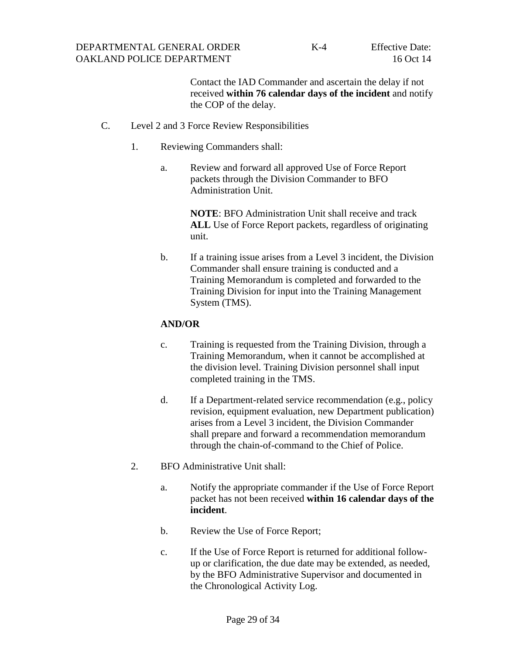<span id="page-32-0"></span>Contact the IAD Commander and ascertain the delay if not received **within 76 calendar days of the incident** and notify the COP of the delay.

- C. Level 2 and 3 Force Review Responsibilities
	- 1. Reviewing Commanders shall:
		- a. Review and forward all approved Use of Force Report packets through the Division Commander to BFO Administration Unit.

**NOTE**: BFO Administration Unit shall receive and track **ALL** Use of Force Report packets, regardless of originating unit.

b. If a training issue arises from a Level 3 incident, the Division Commander shall ensure training is conducted and a Training Memorandum is completed and forwarded to the Training Division for input into the Training Management System (TMS).

#### **AND/OR**

- c. Training is requested from the Training Division, through a Training Memorandum, when it cannot be accomplished at the division level. Training Division personnel shall input completed training in the TMS.
- d. If a Department-related service recommendation (e.g., policy revision, equipment evaluation, new Department publication) arises from a Level 3 incident, the Division Commander shall prepare and forward a recommendation memorandum through the chain-of-command to the Chief of Police.
- 2. BFO Administrative Unit shall:
	- a. Notify the appropriate commander if the Use of Force Report packet has not been received **within 16 calendar days of the incident**.
	- b. Review the Use of Force Report;
	- c. If the Use of Force Report is returned for additional followup or clarification, the due date may be extended, as needed, by the BFO Administrative Supervisor and documented in the Chronological Activity Log.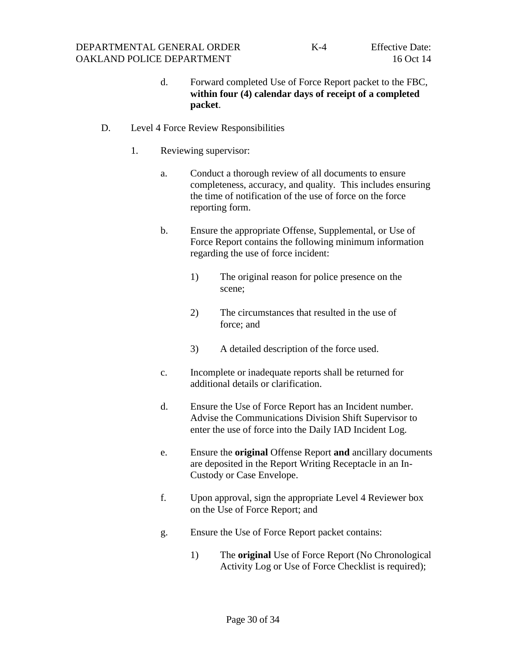- <span id="page-33-0"></span>d. Forward completed Use of Force Report packet to the FBC, **within four (4) calendar days of receipt of a completed packet**.
- D. Level 4 Force Review Responsibilities
	- 1. Reviewing supervisor:
		- a. Conduct a thorough review of all documents to ensure completeness, accuracy, and quality. This includes ensuring the time of notification of the use of force on the force reporting form.
		- b. Ensure the appropriate Offense, Supplemental, or Use of Force Report contains the following minimum information regarding the use of force incident:
			- 1) The original reason for police presence on the scene;
			- 2) The circumstances that resulted in the use of force; and
			- 3) A detailed description of the force used.
		- c. Incomplete or inadequate reports shall be returned for additional details or clarification.
		- d. Ensure the Use of Force Report has an Incident number. Advise the Communications Division Shift Supervisor to enter the use of force into the Daily IAD Incident Log.
		- e. Ensure the **original** Offense Report **and** ancillary documents are deposited in the Report Writing Receptacle in an In-Custody or Case Envelope.
		- f. Upon approval, sign the appropriate Level 4 Reviewer box on the Use of Force Report; and
		- g. Ensure the Use of Force Report packet contains:
			- 1) The **original** Use of Force Report (No Chronological Activity Log or Use of Force Checklist is required);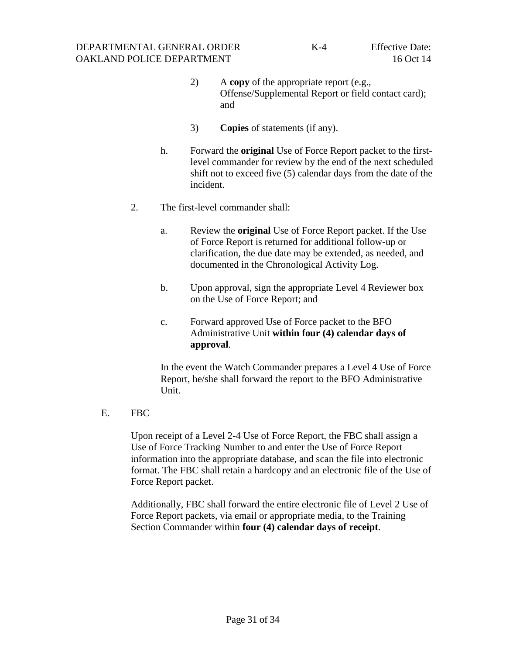- 2) A **copy** of the appropriate report (e.g., Offense/Supplemental Report or field contact card); and
- 3) **Copies** of statements (if any).
- h. Forward the **original** Use of Force Report packet to the firstlevel commander for review by the end of the next scheduled shift not to exceed five (5) calendar days from the date of the incident.
- 2. The first-level commander shall:
	- a. Review the **original** Use of Force Report packet. If the Use of Force Report is returned for additional follow-up or clarification, the due date may be extended, as needed, and documented in the Chronological Activity Log.
	- b. Upon approval, sign the appropriate Level 4 Reviewer box on the Use of Force Report; and
	- c. Forward approved Use of Force packet to the BFO Administrative Unit **within four (4) calendar days of approval**.

In the event the Watch Commander prepares a Level 4 Use of Force Report, he/she shall forward the report to the BFO Administrative Unit.

E. FBC

Upon receipt of a Level 2-4 Use of Force Report, the FBC shall assign a Use of Force Tracking Number to and enter the Use of Force Report information into the appropriate database, and scan the file into electronic format. The FBC shall retain a hardcopy and an electronic file of the Use of Force Report packet.

Additionally, FBC shall forward the entire electronic file of Level 2 Use of Force Report packets, via email or appropriate media, to the Training Section Commander within **four (4) calendar days of receipt**.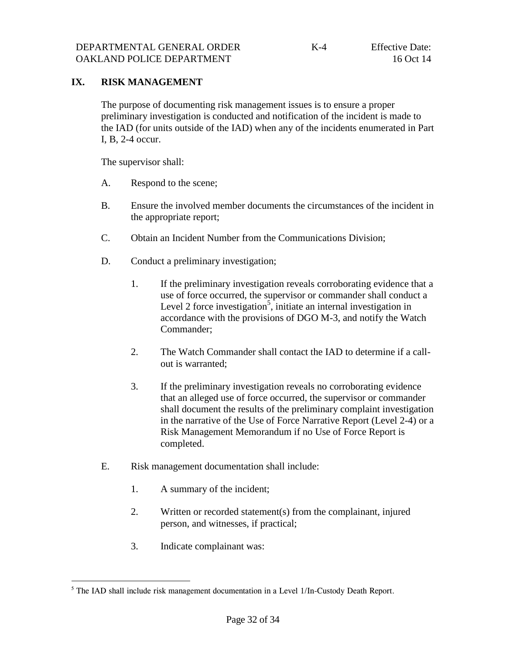## **IX. RISK MANAGEMENT**

<span id="page-35-0"></span>The purpose of documenting risk management issues is to ensure a proper preliminary investigation is conducted and notification of the incident is made to the IAD (for units outside of the IAD) when any of the incidents enumerated in Part I, B, 2-4 occur.

The supervisor shall:

- A. Respond to the scene;
- B. Ensure the involved member documents the circumstances of the incident in the appropriate report;
- C. Obtain an Incident Number from the Communications Division;
- D. Conduct a preliminary investigation;
	- 1. If the preliminary investigation reveals corroborating evidence that a use of force occurred, the supervisor or commander shall conduct a Level 2 force investigation<sup>5</sup>, initiate an internal investigation in accordance with the provisions of DGO M-3, and notify the Watch Commander;
	- 2. The Watch Commander shall contact the IAD to determine if a callout is warranted;
	- 3. If the preliminary investigation reveals no corroborating evidence that an alleged use of force occurred, the supervisor or commander shall document the results of the preliminary complaint investigation in the narrative of the Use of Force Narrative Report (Level 2-4) or a Risk Management Memorandum if no Use of Force Report is completed.
- E. Risk management documentation shall include:
	- 1. A summary of the incident;
	- 2. Written or recorded statement(s) from the complainant, injured person, and witnesses, if practical;
	- 3. Indicate complainant was:

l

<sup>&</sup>lt;sup>5</sup> The IAD shall include risk management documentation in a Level 1/In-Custody Death Report.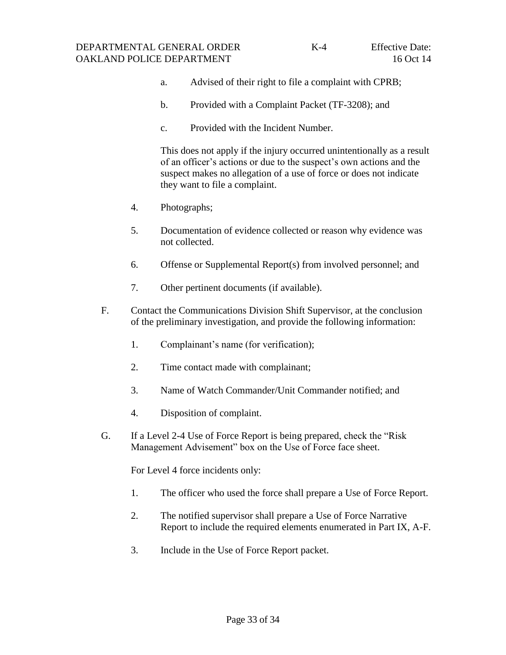- a. Advised of their right to file a complaint with CPRB;
- b. Provided with a Complaint Packet (TF-3208); and
- c. Provided with the Incident Number.

This does not apply if the injury occurred unintentionally as a result of an officer's actions or due to the suspect's own actions and the suspect makes no allegation of a use of force or does not indicate they want to file a complaint.

- 4. Photographs;
- 5. Documentation of evidence collected or reason why evidence was not collected.
- 6. Offense or Supplemental Report(s) from involved personnel; and
- 7. Other pertinent documents (if available).
- F. Contact the Communications Division Shift Supervisor, at the conclusion of the preliminary investigation, and provide the following information:
	- 1. Complainant's name (for verification);
	- 2. Time contact made with complainant;
	- 3. Name of Watch Commander/Unit Commander notified; and
	- 4. Disposition of complaint.
- G. If a Level 2-4 Use of Force Report is being prepared, check the "Risk Management Advisement" box on the Use of Force face sheet.

For Level 4 force incidents only:

- 1. The officer who used the force shall prepare a Use of Force Report.
- 2. The notified supervisor shall prepare a Use of Force Narrative Report to include the required elements enumerated in Part IX, A-F.
- 3. Include in the Use of Force Report packet.